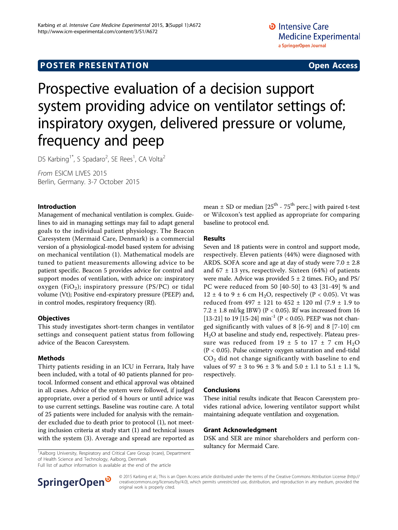## **POSTER PRESENTATION CONSUMING THE SERVICE SERVICE SERVICES**

# Prospective evaluation of a decision support system providing advice on ventilator settings of: inspiratory oxygen, delivered pressure or volume, frequency and peep

DS Karbing<sup>1\*</sup>, S Spadaro<sup>2</sup>, SE Rees<sup>1</sup>, CA Volta<sup>2</sup>

From ESICM LIVES 2015 Berlin, Germany. 3-7 October 2015

#### Introduction

Management of mechanical ventilation is complex. Guidelines to aid in managing settings may fail to adapt general goals to the individual patient physiology. The Beacon Caresystem (Mermaid Care, Denmark) is a commercial version of a physiological-model based system for advising on mechanical ventilation (1). Mathematical models are tuned to patient measurements allowing advice to be patient specific. Beacon 5 provides advice for control and support modes of ventilation, with advice on: inspiratory oxygen (FiO<sub>2</sub>); inspiratory pressure (PS/PC) or tidal volume (Vt); Positive end-expiratory pressure (PEEP) and, in control modes, respiratory frequency (Rf).

#### **Objectives**

This study investigates short-term changes in ventilator settings and consequent patient status from following advice of the Beacon Caresystem.

#### Methods

Thirty patients residing in an ICU in Ferrara, Italy have been included, with a total of 40 patients planned for protocol. Informed consent and ethical approval was obtained in all cases. Advice of the system were followed, if judged appropriate, over a period of 4 hours or until advice was to use current settings. Baseline was routine care. A total of 25 patients were included for analysis with the remainder excluded due to death prior to protocol (1), not meeting inclusion criteria at study start (1) and technical issues with the system (3). Average and spread are reported as mean  $\pm$  SD or median [25<sup>th</sup> - 75<sup>th</sup> perc.] with paired t-test or Wilcoxon's test applied as appropriate for comparing baseline to protocol end.

#### Results

Seven and 18 patients were in control and support mode, respectively. Eleven patients (44%) were diagnosed with ARDS. SOFA score and age at day of study were  $7.0 \pm 2.8$ and  $67 \pm 13$  yrs, respectively. Sixteen (64%) of patients were male. Advice was provided  $5 \pm 2$  times. FiO<sub>2</sub> and PS/ PC were reduced from 50 [40-50] to 43 [31-49] % and  $12 \pm 4$  to 9  $\pm$  6 cm H<sub>2</sub>O, respectively (P < 0.05). Vt was reduced from 497 ± 121 to 452 ± 120 ml (7.9 ± 1.9 to 7.2  $\pm$  1.8 ml/kg IBW) (P < 0.05). Rf was increased from 16 [13-21] to 19 [15-24]  $\min^{-1}$  (P < 0.05). PEEP was not changed significantly with values of 8 [6-9] and 8 [7-10] cm H2O at baseline and study end, respectively. Plateau pressure was reduced from  $19 \pm 5$  to  $17 \pm 7$  cm  $H_2O$ (P < 0.05). Pulse oximetry oxygen saturation and end-tidal  $CO<sub>2</sub>$  did not change significantly with baseline to end values of 97 ± 3 to 96 ± 3 % and 5.0 ± 1.1 to 5.1 ± 1.1 %, respectively.

#### Conclusions

These initial results indicate that Beacon Caresystem provides rational advice, lowering ventilator support whilst maintaining adequate ventilation and oxygenation.

#### Grant Acknowledgment

DSK and SER are minor shareholders and perform con-

<sup>1</sup>Aalborg University, Respiratory and Critical Care Group (rcare), Department **Statement State Care** State Base of Mermaid Care. of Health Science and Technology, Aalborg, Denmark

Full list of author information is available at the end of the article



© 2015 Karbing et al.; This is an Open Access article distributed under the terms of the Creative Commons Attribution License [\(http://](http://creativecommons.org/licenses/by/4.0) [creativecommons.org/licenses/by/4.0](http://creativecommons.org/licenses/by/4.0)), which permits unrestricted use, distribution, and reproduction in any medium, provided the original work is properly cited.